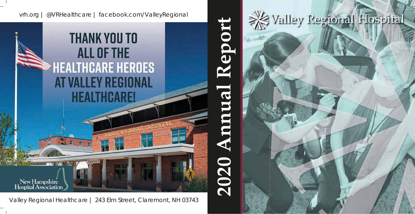### vrh.org | @VRHealthcare | facebook.com/ValleyRegional

# **THANK YOU TO ALL OF THE HEALTHCARE HEROES** AT VALLEY REGIONAL **HEALTHCARE!**

New Hampshire Hospital Association

235

Valley Regional Healthcare | 243 Elm Street, Claremont, NH 03743

**2020 Annual Report**  $\bigcirc$ ep N  $\boldsymbol{\alpha}$ E 2020

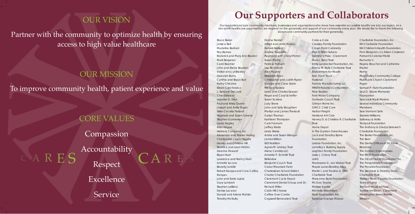# OUR VISION

Partner with the community to optimize health by ensuring access to high value healthcare

Accountability Respect CARES CARES

### OUR MISSION

To improve community health, patient experience and value

### CORE VALUES

Compassion

Excellence

Service

Bruce Baker Jessica Ball Madeline Barbieri Roy Barnes Roderick and Mary Ann Beaton Mark Bergeron Carol Boerner John and Elaine Boynton Volker and Jyl Bradley Deborah Burns Cynthia and Bryan Burr Kathy Chicoine Eileen Czechowicz L. Barbara DeCook Char Delabar Lorraine G. Dion Paul and Krista Dunne Joseph and Anita Engel Sister Cecelia Ferland Reginald and Susan Greene Stephen Gunnerson Laura Hagley Alan Hague Helms & Company, Inc. Alexander and Shawn Herzog Charles and Joyce Higgins Harvey and Christina Hill Beatrice and Leon Hobbs Deanna Howard Bryan Huot Lawrence and Nancy Huot Annette Iacono Beverly Janelle Robert Kangas and Cora Collins-Kangas John and Katie Lajoie Gary Lambert Stephen LeBlanc Denise Lecaroz Donald and Arlene Mahler Timothy McNulty

## **Our Supporters and Collaborators**

Donna Neider Alfred and Linda Nelson Ronald Nelson Angela Paquette Raymond and Cheryl Perron Susan Premo Patricia Putnam Lisa Richmond Alan Rogers Elizabeth Ryan Christopher and Judith Ryder George and Clara Sabin Michael Satzow Linda and Charles Sawyer Roger and Caryl Scheffer Susan Scalera Judy Shore John and Sally Stoughton Marilyn and James Theriault Gailyn Thomas Kathleen Thompson Carol Varnum Jeffrey Walla Linda Weiss Andre and Susan Wenger James Wilton 603 Nutrition Agnes M. Lindsay Trust Alene Candles LLC Annette P. Schmitt Trust Belleview Benjamin Couch Trust Cedar Mountain Farm Charlestown School District Charter Charitable Foundation Claremont Cycle Depot Claremont Dental Group and Dr. Richard Miller Cobb Hill Cheese Coffee Over Cardio Cogswell Benevolent Trust

Coke-a-Cola Crowley Family Foundation Crown Point Cabinetry Dan O'Brien Subaru Domino's Pizza - Claremont Doris L. Benz Trust Emily Landecker Foundation, Inc. Emma M. Kelly Charitable Trust Endowment for Health Epic Food Truck Fastenal Fedora Manufacturing LLC FIRST® Robotics Competition **Flow Studios** Ford Motor Company Gertrude Couch Trust Gilman Home Inc. GMCC Child Care Harbor Freight Hartland 4-H Club Harvey D. & Christina R. Charitable Trust Home Depot In The Garden Greenhouses Jack and Dorothy Byrne Foundation Lakota Foundation, Inc. LaValley's Building Supply Leighton Family Foundation Lizzie J. Cheny Trust LUAS Madelaine G. von Weber Trust Maple Lanes Bowling Alley Martin I. and Pauline G. Elkin Charitable Trust Mascoma Bank Foundation McGee Toyota Melissa Ayotte Michelle Sirles Aiken Nash Foundation, Inc National Grange Mutual

Charitable Foundation, Inc. NH Charitable Foundation NH Children's Health Foundation Pam Bergeron c/o Alison Crossman Putnam's Colonial Florist Ramunto's Regina Boucher and Catherine Martel Remix River Valley Community College Riverbank Church Claremont Ruger Samuel P. Hunt Foundation Saul O. Sidore Memorial Foundation Seacoast Mask Makers Several Individual Community **Members** Sew Vermont Safe Sherwin-Williams Sulloway & Hollis Tamposi Foundation The Anthony & Gladys Sakowich Charitable Foundation The Barker Foundation, Inc. The Barn The Dental Offices of Dr. Frank Benenati The Garden Greenhouses The MCR Foundation The Olcott Family Foundation Inc. The Panjandrum Foundation The Penates Foundation The Stannard & Dorothy Dunn Charitable Trust Tillotson North Country Foundation Town of Lyme Tremont House of Pizza Tumble Inn Diner - Claremont Washington Street Mobile Whelen

Our supporters include community members, businesses and organizations who know how essential accessible healthcare is to our region. As a non-profit healthcare organization, we depend on the generosity and support of our community every year. We would like to thank the following donors and community partners for their generosity.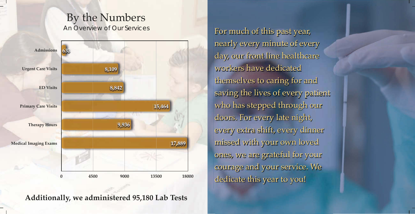

For much of this past year, nearly every minute of every day, our front line healthcare workers have dedicated themselves to caring for and saving the lives of every patient who has stepped through our doors. For every late night, every extra shift, every dinner missed with your own loved ones, we are grateful for your courage and your service. We dedicate this year to you!

## By the Numbers An Overview of Our Services

**Additionally, we administered 95,180 Lab Tests**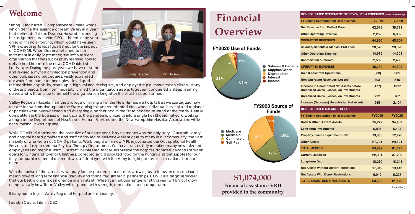### **Welcome**

Strong. Dedicated. Compassionate - three words which define the essence of Team Valley in a year that defied definition. Deanna Howard, extending her assignment as Interim CEO, ushered in the year on solid financial footing, which would have seen VRH exceeding its fiscal goals if not for the impact of COVID-19. When Deanna returned to her retirement in early September, she left a resilient organization that was successfully learning how to deliver healthcare in the new, COVID-riddled landscape. During the past year, we have created and revised a myriad of infection prevention and other policies and procedures, vastly expanded our work-from-home technologies, developed

telemedicine capability, stood up a high volume testing site, and deployed rapid immunization clinics. Many of these projects, born from necessity, unified the organization as we, together, conquered a steep learning curve, and will continue to benefit the organization long after the virus has been tamed.

Valley Regional Hospital had the privilege of joining all of the New Hampshire hospitals as we strategized how to care for patients throughout the State during this unprecedented time when individual hospital and regional capacities were overwhelmed and every single patient bed in the State needed to stand at the ready. Usually competitors in the business of healthcare, the pandemic united us into a single healthcare network, working alongside the Department of Health and Human Services and the New Hampshire Hospital Association; while not surprising, it was inspiring.

While COVID-19 dominated the narrative of our past year, it by no means was the only story. Our ambulatory and hospital based providers and staff continued to deliver excellent care to many in our community, the vast majority of who were not COVID patients. We brought on a new MRI, rejuvenated our Occupational Health Service, and expanded our Physical Therapy Department. We have successfully recruited many new talented employees and medical staff. Our staff volunteered for causes outside the hospital, donated carloads of warm coats for winter and toys for Christmas, collected and distributed food for the hungry and pet supplies for our furry companions; one of our medical staff deployed with the Army to fight pandemic in a national area of need.

With the arrival of the vaccines, we pray for the pandemic to recede, allowing us to focus on our continued march toward long term financial stability and formalized strategic partnerships. COVID is a tragic reminder that our best laid plans can change in an instant. While I cannot guarantee what this year will bring, I know unequivocally how Team Valley will respond - with strength, dedication, and compassion.

It is my honor to join Valley Regional Hospital on this journey.

Jocelyn Caple, Interim CEO



| <b>CONSOLIDATED STATEMENT OF REVENUES &amp; EXPENSES (unrestricted only)</b>                         |               |               |
|------------------------------------------------------------------------------------------------------|---------------|---------------|
| FY Ending September 30 (in thousands)                                                                | <b>FY2019</b> | <b>FY2020</b> |
| <b>Net Revenue from Patient Care</b>                                                                 | 42,618        | 38,721        |
| <b>Other Operating Revenue</b>                                                                       | 2,262         | 6,882         |
| <b>OPERATING REVENUES</b>                                                                            | 44,880        | 45,604        |
| <b>Salaries, Benefits &amp; Medical Prof Fees</b>                                                    | 28,576        | 28,020        |
| <b>Other Operating Expense</b>                                                                       | 14,675        | 14,303        |
| <b>Depreciation &amp; Interest</b>                                                                   | 2,509         | 2,480         |
| <b>OPERATING EXPENSES</b>                                                                            | 45,760        | 44,803        |
| <b>Gain (Loss) from Operations</b>                                                                   | (880)         | 801           |
| <b>Non-Operating Revenues (Losses)</b>                                                               | 403           | 516           |
| <b>Increase in Unrestricted Net Assets before</b><br><b>Unrealized Gains (Losses) on Investments</b> | (477)         | 1317          |
| <b>Unrealized Gains (Losses) on Investments</b>                                                      | 722           | 787           |
| <b>Increase (Decrease) Unrestricted Net Assets</b>                                                   | 245           | 2,104         |
| <b>CONSOLIDATED BALANCE SHEET</b>                                                                    |               |               |
| FY Ending September 30 (in thousands)                                                                | <b>FY2019</b> | <b>FY2020</b> |
| <b>Cash &amp; Other Current Assets</b>                                                               | 15,279        | 34,489        |
| <b>Long-term Investments</b>                                                                         | 6,807         | 5,137         |
| <b>Property, Plant &amp; Equipment - Net</b>                                                         | 13,885        | 12,426        |
| <b>Other Assets</b>                                                                                  | 27,721        | 29,121        |
| <b>TOTAL ASSETS</b>                                                                                  | 63,692        | 81,173        |
| <b>Current Liabilities</b>                                                                           | 22,081        | 37,289        |
| <b>Long-term Debt</b>                                                                                | 18,250        | 18,241        |
| <b>Net Assets Without Donor Restrictions</b>                                                         | 17,312        | 19,416        |
| <b>Net Assets With Donor Restrictions</b>                                                            | 6,049         | 6,227         |
| <b>TOTAL LIABILITIES &amp; NET ASSETS</b>                                                            | 63,692        | 81,173        |

# **Financial Overview**

**\$1,074,000 Financial assistance VRH provided to the community**



(Unaudited)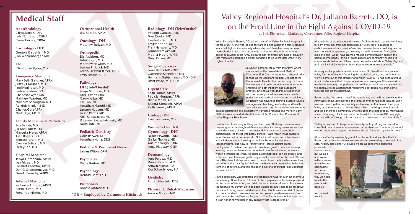#### **Anesthesiology**

Chris Mann, CRNA John Tomlinson, CRNA Carrie Heiney, CRNA

#### **Cardiology - DH\***

Gregory Dadekian, MD Jon Wahrenberger, MD

**ENT**  Christopher Ryder, MD

#### **Emergency Medicine**

Mary Beth Gardner, APRN Jeffrey Hanissian, MD Joel Herrington, MD Joshua Rudner, DO Charles Sawyer, MD Matthew Warden, MD Malcolm Schongalla MD Randolph Knight MD Charles Gerz APRN Mark Drye, APRN

#### **Family Medicine & Pediatrics**

Roy Barnes, MD Juliann Barrett, DO Marcella Meier, APRN Alan Rogers, DO Bernard Rosen, MD Corinne Sullivan, MD Shirley Tan, MD

### **Hospital Medicine**

Tanya Carbonara, APRN Ivar Frithsen, MD Lori Kast Feenstra, APRN Dennis Gruesenmeyer, M.D. Gerald Beaudry, APRN

#### **Internal Medicine**

Katherine Cooper, APRN Azem Dushaj, MD Fernanda Miletto, MD

#### **Radiology - DH (Tele/Onsite)\***

Vincent Caruana, MD Tyler Cooke, MD Elizabeth Dann, MD Kris Eschbach, DO Mark Hansberry, MD Jennifer Krawitt, MD Meena Moorthy, MD Daryl Parker, MD

### **Surgical Services**

Sean Bears, MD - DH\* Catherine Schneider, MD Hermann Sigbjarnarson, MD - DH\* Brent White, MD - DH\*

### **Urgent Care**

Keith Fannin, APRN Patricia Morgan, APRN Nicole Morris, APRN Brenda Slossberg, APRN Keith Fannin, APRN

### **Urology - DH**

Einar Sverrisson, MD

### **Women's Health &**

**Gynecology - DH\***  Sarah Ellsworth, CNM Gailyn Thomas, MD Autumn Vergo, CNM Jesse Ridgway, CNM

#### **Dermatology**

Jose Peraza, M.D. Daniel Peraza, M.D. Ashwin Kumar, P.A. Kira Schachinger, P.A.

When Dr. Juliann Barrett, DO, joined the staff of Valley Regional Hospital in the fall of 2017, she was looking forward to being a part of a family practice in a small, tight-knit community where she could use her many acquired medical skills to take care of patients of all ages. Although her military career as a Major in the Army prepared her for almost any type of situation that might arise, perhaps a global pandemic three years later wasn't very high on that list.



**Dentistry** Robert Maxfield, DDS

**Physical & Rehab Medicine** Annice Mason, MD

### **Occupational Health**

Lisa Kazakis, APRN

**Oncology - DH\*** Matthew Sullivan, MD

#### **Orthopedics**

Eric Arvidson, MD Tahsin Ergin, MD Matthew Hawkins, MD Joshua Philbrick, MD Felicia Bickford Butler, APRN Emily Brooks, APRN

### **Pathology - DH (Tele/Onsite)\***

Jorge Gonzalez, MD Joel Lefferts, PhD Xiaoying Liu, MD Eric Loo, MD Jonathan Marotti, MD Lananh Nguyen, MD Jason Pettus, MD Arief Suriawinata, MD Zbigniew Szezepiokowski, MD Laura Tafe, MD

#### **Pediatric Dentistry**

Colin Boswell, DDS Jonathan Norris, DDS

**Podiatry & Peripheral Nerve** James Wilton, DPM

#### **Psychiatry**  Diane Roston, MD

**Psychology**  Richard Root, EdD

**Pulmonary** Donald Mahler, MD

### **Medical Staff**

**\*DH = Employed by Dartmouth Hitchcock**

### Valley Regional Hospital's Dr. Juliann Barrett, DO, is on the Front Line in the Fight Against COVID-19

by Kris Richardson, Marketing Coordinator, Valley Regional Hospital

As scary and unpredictable a time as this is, Dr. Barrett and everyone at Valley feel hopeful about flattening the statistical curve, and confident that we will come out of this stronger and wiser. "COVID-19 has been a unique time in history, one that I hope none of us ever see again. It has tested our medical community, our patience, our resilience, but it has also shown that we continue to be a nation that, when times get tough, we often come together and do the right thing."

Dr. Barrett came to Valley from the Army, where she served as the Sexual Assault Medical Director at Fort Drum in Watertown, NY, and prior to that, as the Assistant Medical Director at the Grafenwoehr Health Clinic in Germany. Dr. Barrett has ten years of post-graduate experience with emphasis on both inpatient and outpatient practice. She has a high degree of experience with outpatient procedures, women's health. pediatrics and medical acupuncture. In addition, Dr. Barrett has advanced training in acute trauma management, teaching, leadership, and health care administration, and is consistently a leader in

patient satisfaction and productivity. For these reasons and more, in early 2018 she was named Medical Director of the Primary Care Practices at Valley Regional Healthcare.

Fast forward to January of this year. The United States government was preparing for an onslaught of illness, and despite taking measures such as social distancing, closing of non-essential businesses, and outright quarantining, the threat was barely curbed. "Late March I was called to report to my unit in Somersworth, NH within 48 hours, and it has been a whirlwind ever since, traveling to the New Hampshire seacoast, Massachusetts, and now to Pennsylvania", stated Barrett on her deployment. "The team and people have been great! There was a steep learning curve- we have never done this in the Army before- but we are working through the kinks. We share a common goal, to help people, and when you have the same goals things usually work out for the best. We are from 18 different states from coast to coast. Army medicine has never been asked to be the "war fighter" before. We have never been asked to be the front line of defense, and this has been a historic effort that I am just proud to be a part of."

Asked about how well prepared she thought she was for such an enormous undertaking, Barrett says, "I trained to be a physician in the army, prepared for the worst of the worst, and I did this for a number of years. Since joining the reserves my current unit has been training for two years to be an active participant during a medical disaster in the USA, however we didn't expect it to be a pandemic. We were excited two years ago when we were given this honor to be the Defense Support of Civil Authorities medical asset and it is an honor now to help in any capacity that is asked of me."

Although full of experience and training, Dr. Barrett feels that she continues to learn every day from her experiences. "Every time I am asked to participate in a military mission/exercise, I always learn something new- a new motivational approach, a new way to instill teamwork. During this mission I think what I have learned most is communication skills in the height of emergency. I think all organizations are constantly needing to communicate better and I think the same can be said about Valley Regional at times. I will definitely bring back improved communication skills."

Barrett adds, "We are not out of the woods yet, and I will remain where the Army asks of me until they feel the threat is over or has been abated. But if we can come together as a society and remember that here in the Upper Valley we are fortunate to have endless miles of walking space, fresh air, and the benefit of a community who has done the right thing by maintaining social distancing, I think we can all be thankful for what we DO have right now. We will get through this and live to tell the stories to our grand kids."

"Valley is prepared to keep our community healthy, strong and cared for. I know that commitment continues even in my absence. That is why I am not worried about what is going on there and I can focus on my mission here."

All of us at Valley are deeply grateful for the work and sacrifice that Dr. Barrett, and all healthcare workers worldwide, are making to keep all of us safe, healthy and calm. "Of course we are all concerned about the

possibility of a second wave, but we as a unit, we as a military, we as a health care community, will come together any way we need to help the people who need us."

And indeed we will.

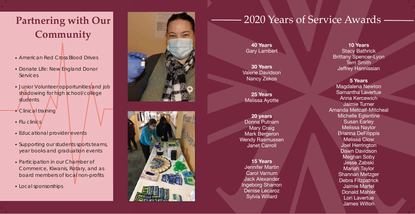**5 Years**  Magdalena Newton Samantha Lavertue Anna Kercewich Jaimie Turner Amanda Metcalf-Mitcheal Michelle Eglentine Susan Earley Melissa Naylor Brianna DeFilippis Melissa Clow Joel Herrington Dawn Davidson Meghan Soby Jesse Zabski Mariah Taylor Shannan Metzger Debra Fitzpatrick Jaimie Martel Donald Mahler Lori Lavertue James Wilton

# Partnering with Our **Partnering with Our Partnering with Our Partnering with Our Partnering with Our Partners Community**

**40 Years**  Gary Lambert

**30 Years**  Valerie Davidson Nancy Zekos

**25 Years**  Melissa Ayotte

**20 years**  Donna Putnam Mary Craig Mark Bergeron Wendy Rasmussen Janet Carroll

- American Red Cross Blood Drives<br>• Donate Life: New England Donor
- **Services**
- Junior Volunteer opportunities and job shadowing for high school/college students
- 
- 
- 
- Clinical training<br>• Flu clinics<br>• Educational provider events<br>• Supporting our students sports teams, year books and graduation events
- Participation in our Chamber of Commerce, Kiwanis, Rotary, and as board members of local non-profits
- Local sponsorships





**15 Years**  Jennifer Martin Carol Varnum Jack Alexander Ingeborg Sharron Denise Lecaroz Sylvia Willard

**10 Years**  Stacy Bathrick Brittany Spencer-Lyon Terri Smith Jeffrey Hannissian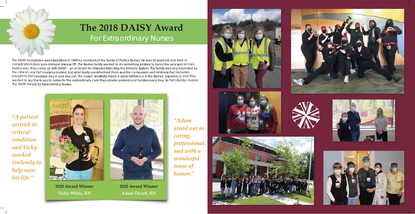## **The 2018 DAISY Award** For Extraordinary Nurses

The DAISY Foundation was established in 1999 by members of the family of Patrick Barnes. He was 33 years old and died of complications from auto-immune disease ITP. The Barnes family wanted to do something positive to honor the very special man Patrick was. They came up with DAISY – an acronym for Diseases Attacking the Immune System. The family was very impressed by the clinical care Pat's nurses provided, but what really overwhelmed them was the compassion and kindness that his nurses brought to Pat's bedside day in and day out. The nurses' sensitivity made a great difference in the Barnes' experience, and they the wanted to say thank you to nurses for the extraordinary care they provide patients and families every day. So Pat's family created The DAISY Award for Extraordinary Nurses.

*"A patient arrived in critical condition and Vicky worked tirelessly to help save his life."*

*"Adam stood out as caring, professional, and with a wonderful sense of humor."*

















**2020 Award Winner Vicky White, RN**



**2020 Award Winner Adam Orcutt, RN**